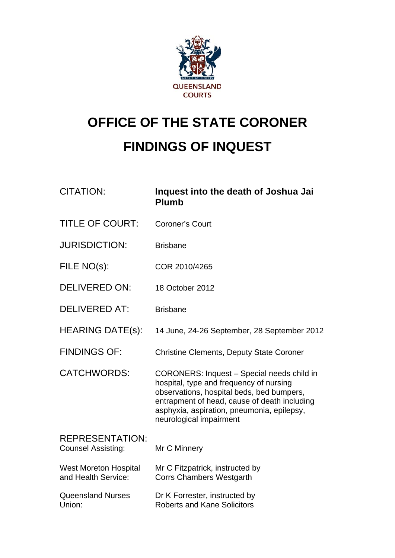

# **OFFICE OF THE STATE CORONER FINDINGS OF INQUEST**

| <b>CITATION:</b>                                    | Inquest into the death of Joshua Jai<br><b>Plumb</b>                                                                                                                                                                                                        |
|-----------------------------------------------------|-------------------------------------------------------------------------------------------------------------------------------------------------------------------------------------------------------------------------------------------------------------|
| <b>TITLE OF COURT:</b>                              | <b>Coroner's Court</b>                                                                                                                                                                                                                                      |
| <b>JURISDICTION:</b>                                | <b>Brisbane</b>                                                                                                                                                                                                                                             |
| FILE NO(s):                                         | COR 2010/4265                                                                                                                                                                                                                                               |
| <b>DELIVERED ON:</b>                                | 18 October 2012                                                                                                                                                                                                                                             |
| <b>DELIVERED AT:</b>                                | <b>Brisbane</b>                                                                                                                                                                                                                                             |
| <b>HEARING DATE(s):</b>                             | 14 June, 24-26 September, 28 September 2012                                                                                                                                                                                                                 |
| <b>FINDINGS OF:</b>                                 | <b>Christine Clements, Deputy State Coroner</b>                                                                                                                                                                                                             |
| <b>CATCHWORDS:</b>                                  | CORONERS: Inquest - Special needs child in<br>hospital, type and frequency of nursing<br>observations, hospital beds, bed bumpers,<br>entrapment of head, cause of death including<br>asphyxia, aspiration, pneumonia, epilepsy,<br>neurological impairment |
| <b>REPRESENTATION:</b><br><b>Counsel Assisting:</b> | Mr C Minnery                                                                                                                                                                                                                                                |
| <b>West Moreton Hospital</b><br>and Health Service: | Mr C Fitzpatrick, instructed by<br><b>Corrs Chambers Westgarth</b>                                                                                                                                                                                          |
| <b>Queensland Nurses</b><br>Union:                  | Dr K Forrester, instructed by<br><b>Roberts and Kane Solicitors</b>                                                                                                                                                                                         |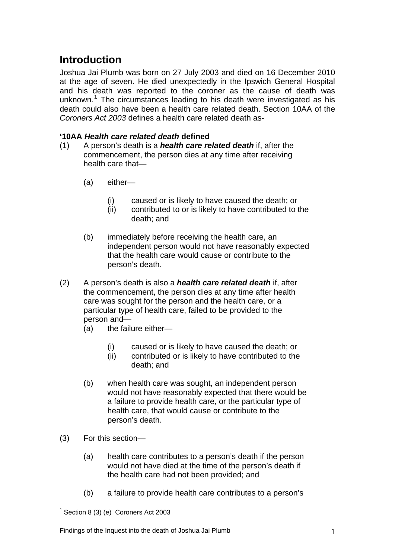## **Introduction**

Joshua Jai Plumb was born on 27 July 2003 and died on 16 December 2010 at the age of seven. He died unexpectedly in the Ipswich General Hospital and his death was reported to the coroner as the cause of death was unknown.<sup>[1](#page-1-0)</sup> The circumstances leading to his death were investigated as his death could also have been a health care related death. Section 10AA of the *Coroners Act 2003* defines a health care related death as-

#### **'10AA** *Health care related death* **defined**

- (1) A person's death is a *health care related death* if, after the commencement, the person dies at any time after receiving health care that—
	- (a) either—
		- (i) caused or is likely to have caused the death; or
		- (ii) contributed to or is likely to have contributed to the death; and
	- (b) immediately before receiving the health care, an independent person would not have reasonably expected that the health care would cause or contribute to the person's death.
- (2) A person's death is also a *health care related death* if, after the commencement, the person dies at any time after health care was sought for the person and the health care, or a particular type of health care, failed to be provided to the person and—
	- (a) the failure either—
		- (i) caused or is likely to have caused the death; or
		- (ii) contributed or is likely to have contributed to the death; and
	- (b) when health care was sought, an independent person would not have reasonably expected that there would be a failure to provide health care, or the particular type of health care, that would cause or contribute to the person's death.
- (3) For this section—
	- (a) health care contributes to a person's death if the person would not have died at the time of the person's death if the health care had not been provided; and
	- (b) a failure to provide health care contributes to a person's

<span id="page-1-0"></span><sup>&</sup>lt;u>.</u>  $1$  Section 8 (3) (e) Coroners Act 2003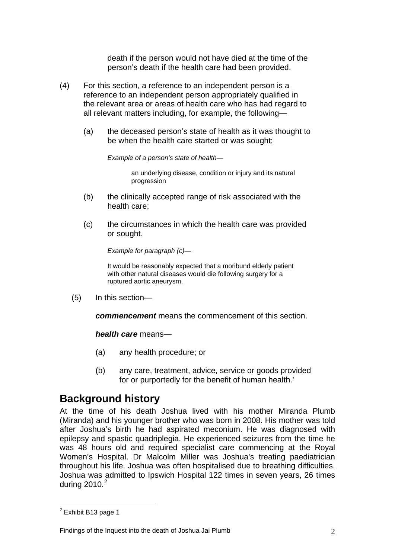death if the person would not have died at the time of the person's death if the health care had been provided.

- (4) For this section, a reference to an independent person is a reference to an independent person appropriately qualified in the relevant area or areas of health care who has had regard to all relevant matters including, for example, the following—
	- (a) the deceased person's state of health as it was thought to be when the health care started or was sought;

*Example of a person's state of health*—

an underlying disease, condition or injury and its natural progression

- (b) the clinically accepted range of risk associated with the health care;
- (c) the circumstances in which the health care was provided or sought.

*Example for paragraph (c)*—

It would be reasonably expected that a moribund elderly patient with other natural diseases would die following surgery for a ruptured aortic aneurysm.

(5) In this section—

*commencement* means the commencement of this section.

*health care* means—

- (a) any health procedure; or
- (b) any care, treatment, advice, service or goods provided for or purportedly for the benefit of human health.'

## **Background history**

At the time of his death Joshua lived with his mother Miranda Plumb (Miranda) and his younger brother who was born in 2008. His mother was told after Joshua's birth he had aspirated meconium. He was diagnosed with epilepsy and spastic quadriplegia. He experienced seizures from the time he was 48 hours old and required specialist care commencing at the Royal Women's Hospital. Dr Malcolm Miller was Joshua's treating paediatrician throughout his life. Joshua was often hospitalised due to breathing difficulties. Joshua was admitted to Ipswich Hospital 122 times in seven years, 26 times during [2](#page-1-0)010. $2$ 

<u>.</u>

<span id="page-2-0"></span><sup>&</sup>lt;sup>2</sup> Exhibit B13 page 1

Findings of the Inquest into the death of Joshua Jai Plumb 2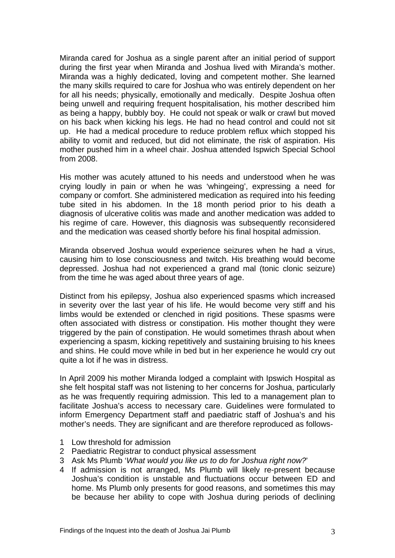Miranda cared for Joshua as a single parent after an initial period of support during the first year when Miranda and Joshua lived with Miranda's mother. Miranda was a highly dedicated, loving and competent mother. She learned the many skills required to care for Joshua who was entirely dependent on her for all his needs; physically, emotionally and medically. Despite Joshua often being unwell and requiring frequent hospitalisation, his mother described him as being a happy, bubbly boy. He could not speak or walk or crawl but moved on his back when kicking his legs. He had no head control and could not sit up. He had a medical procedure to reduce problem reflux which stopped his ability to vomit and reduced, but did not eliminate, the risk of aspiration. His mother pushed him in a wheel chair. Joshua attended Ispwich Special School from 2008.

His mother was acutely attuned to his needs and understood when he was crying loudly in pain or when he was 'whingeing', expressing a need for company or comfort. She administered medication as required into his feeding tube sited in his abdomen. In the 18 month period prior to his death a diagnosis of ulcerative colitis was made and another medication was added to his regime of care. However, this diagnosis was subsequently reconsidered and the medication was ceased shortly before his final hospital admission.

Miranda observed Joshua would experience seizures when he had a virus, causing him to lose consciousness and twitch. His breathing would become depressed. Joshua had not experienced a grand mal (tonic clonic seizure) from the time he was aged about three years of age.

Distinct from his epilepsy, Joshua also experienced spasms which increased in severity over the last year of his life. He would become very stiff and his limbs would be extended or clenched in rigid positions. These spasms were often associated with distress or constipation. His mother thought they were triggered by the pain of constipation. He would sometimes thrash about when experiencing a spasm, kicking repetitively and sustaining bruising to his knees and shins. He could move while in bed but in her experience he would cry out quite a lot if he was in distress.

In April 2009 his mother Miranda lodged a complaint with Ipswich Hospital as she felt hospital staff was not listening to her concerns for Joshua, particularly as he was frequently requiring admission. This led to a management plan to facilitate Joshua's access to necessary care. Guidelines were formulated to inform Emergency Department staff and paediatric staff of Joshua's and his mother's needs. They are significant and are therefore reproduced as follows-

- 1 Low threshold for admission
- 2 Paediatric Registrar to conduct physical assessment
- 3 Ask Ms Plumb '*What would you like us to do for Joshua right now?*'
- 4 If admission is not arranged, Ms Plumb will likely re-present because Joshua's condition is unstable and fluctuations occur between ED and home. Ms Plumb only presents for good reasons, and sometimes this may be because her ability to cope with Joshua during periods of declining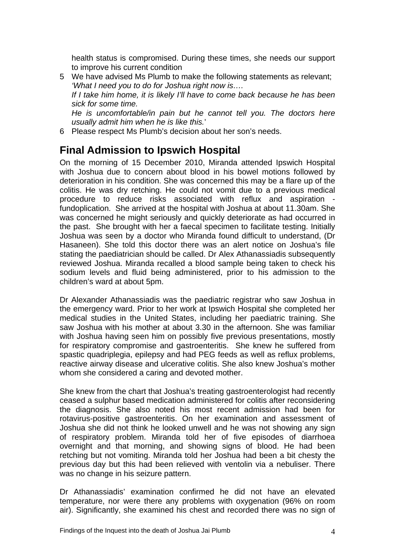health status is compromised. During these times, she needs our support to improve his current condition

- 5 We have advised Ms Plumb to make the following statements as relevant; *'What I need you to do for Joshua right now is…. If I take him home, it is likely I'll have to come back because he has been sick for some time. He is uncomfortable/in pain but he cannot tell you. The doctors here usually admit him when he is like this.*'
- 6 Please respect Ms Plumb's decision about her son's needs.

#### **Final Admission to Ipswich Hospital**

On the morning of 15 December 2010, Miranda attended Ipswich Hospital with Joshua due to concern about blood in his bowel motions followed by deterioration in his condition. She was concerned this may be a flare up of the colitis. He was dry retching. He could not vomit due to a previous medical procedure to reduce risks associated with reflux and aspiration fundoplication. She arrived at the hospital with Joshua at about 11.30am. She was concerned he might seriously and quickly deteriorate as had occurred in the past. She brought with her a faecal specimen to facilitate testing. Initially Joshua was seen by a doctor who Miranda found difficult to understand, (Dr Hasaneen). She told this doctor there was an alert notice on Joshua's file stating the paediatrician should be called. Dr Alex Athanassiadis subsequently reviewed Joshua. Miranda recalled a blood sample being taken to check his sodium levels and fluid being administered, prior to his admission to the children's ward at about 5pm.

Dr Alexander Athanassiadis was the paediatric registrar who saw Joshua in the emergency ward. Prior to her work at Ipswich Hospital she completed her medical studies in the United States, including her paediatric training. She saw Joshua with his mother at about 3.30 in the afternoon. She was familiar with Joshua having seen him on possibly five previous presentations, mostly for respiratory compromise and gastroenteritis. She knew he suffered from spastic quadriplegia, epilepsy and had PEG feeds as well as reflux problems, reactive airway disease and ulcerative colitis. She also knew Joshua's mother whom she considered a caring and devoted mother.

She knew from the chart that Joshua's treating gastroenterologist had recently ceased a sulphur based medication administered for colitis after reconsidering the diagnosis. She also noted his most recent admission had been for rotavirus-positive gastroenteritis. On her examination and assessment of Joshua she did not think he looked unwell and he was not showing any sign of respiratory problem. Miranda told her of five episodes of diarrhoea overnight and that morning, and showing signs of blood. He had been retching but not vomiting. Miranda told her Joshua had been a bit chesty the previous day but this had been relieved with ventolin via a nebuliser. There was no change in his seizure pattern.

Dr Athanassiadis' examination confirmed he did not have an elevated temperature, nor were there any problems with oxygenation (96% on room air). Significantly, she examined his chest and recorded there was no sign of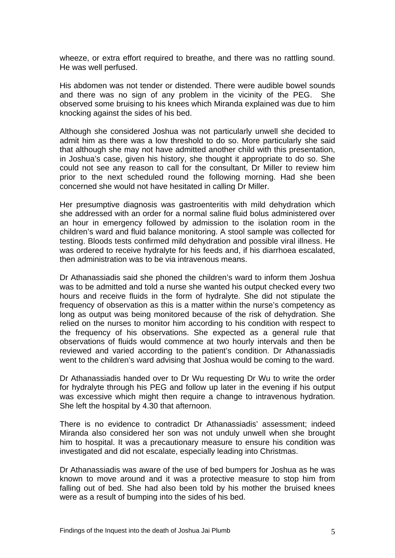wheeze, or extra effort required to breathe, and there was no rattling sound. He was well perfused.

His abdomen was not tender or distended. There were audible bowel sounds and there was no sign of any problem in the vicinity of the PEG. She observed some bruising to his knees which Miranda explained was due to him knocking against the sides of his bed.

Although she considered Joshua was not particularly unwell she decided to admit him as there was a low threshold to do so. More particularly she said that although she may not have admitted another child with this presentation, in Joshua's case, given his history, she thought it appropriate to do so. She could not see any reason to call for the consultant, Dr Miller to review him prior to the next scheduled round the following morning. Had she been concerned she would not have hesitated in calling Dr Miller.

Her presumptive diagnosis was gastroenteritis with mild dehydration which she addressed with an order for a normal saline fluid bolus administered over an hour in emergency followed by admission to the isolation room in the children's ward and fluid balance monitoring. A stool sample was collected for testing. Bloods tests confirmed mild dehydration and possible viral illness. He was ordered to receive hydralyte for his feeds and, if his diarrhoea escalated, then administration was to be via intravenous means.

Dr Athanassiadis said she phoned the children's ward to inform them Joshua was to be admitted and told a nurse she wanted his output checked every two hours and receive fluids in the form of hydralyte. She did not stipulate the frequency of observation as this is a matter within the nurse's competency as long as output was being monitored because of the risk of dehydration. She relied on the nurses to monitor him according to his condition with respect to the frequency of his observations. She expected as a general rule that observations of fluids would commence at two hourly intervals and then be reviewed and varied according to the patient's condition. Dr Athanassiadis went to the children's ward advising that Joshua would be coming to the ward.

Dr Athanassiadis handed over to Dr Wu requesting Dr Wu to write the order for hydralyte through his PEG and follow up later in the evening if his output was excessive which might then require a change to intravenous hydration. She left the hospital by 4.30 that afternoon.

There is no evidence to contradict Dr Athanassiadis' assessment; indeed Miranda also considered her son was not unduly unwell when she brought him to hospital. It was a precautionary measure to ensure his condition was investigated and did not escalate, especially leading into Christmas.

Dr Athanassiadis was aware of the use of bed bumpers for Joshua as he was known to move around and it was a protective measure to stop him from falling out of bed. She had also been told by his mother the bruised knees were as a result of bumping into the sides of his bed.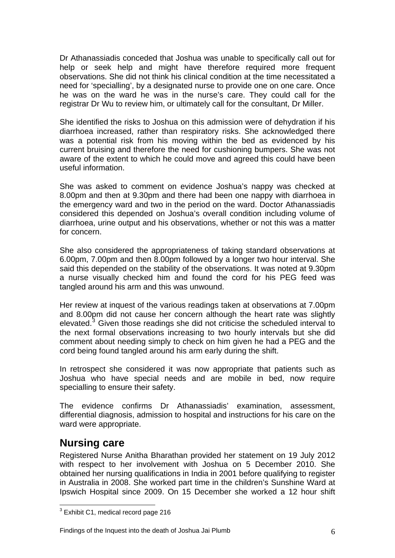Dr Athanassiadis conceded that Joshua was unable to specifically call out for help or seek help and might have therefore required more frequent observations. She did not think his clinical condition at the time necessitated a need for 'specialling', by a designated nurse to provide one on one care. Once he was on the ward he was in the nurse's care. They could call for the registrar Dr Wu to review him, or ultimately call for the consultant, Dr Miller.

She identified the risks to Joshua on this admission were of dehydration if his diarrhoea increased, rather than respiratory risks. She acknowledged there was a potential risk from his moving within the bed as evidenced by his current bruising and therefore the need for cushioning bumpers. She was not aware of the extent to which he could move and agreed this could have been useful information.

She was asked to comment on evidence Joshua's nappy was checked at 8.00pm and then at 9.30pm and there had been one nappy with diarrhoea in the emergency ward and two in the period on the ward. Doctor Athanassiadis considered this depended on Joshua's overall condition including volume of diarrhoea, urine output and his observations, whether or not this was a matter for concern.

She also considered the appropriateness of taking standard observations at 6.00pm, 7.00pm and then 8.00pm followed by a longer two hour interval. She said this depended on the stability of the observations. It was noted at 9.30pm a nurse visually checked him and found the cord for his PEG feed was tangled around his arm and this was unwound.

Her review at inquest of the various readings taken at observations at 7.00pm and 8.00pm did not cause her concern although the heart rate was slightly elevated.<sup>[3](#page-2-0)</sup> Given those readings she did not criticise the scheduled interval to the next formal observations increasing to two hourly intervals but she did comment about needing simply to check on him given he had a PEG and the cord being found tangled around his arm early during the shift.

In retrospect she considered it was now appropriate that patients such as Joshua who have special needs and are mobile in bed, now require specialling to ensure their safety.

The evidence confirms Dr Athanassiadis' examination, assessment, differential diagnosis, admission to hospital and instructions for his care on the ward were appropriate.

#### **Nursing care**

Registered Nurse Anitha Bharathan provided her statement on 19 July 2012 with respect to her involvement with Joshua on 5 December 2010. She obtained her nursing qualifications in India in 2001 before qualifying to register in Australia in 2008. She worked part time in the children's Sunshine Ward at Ipswich Hospital since 2009. On 15 December she worked a 12 hour shift

<span id="page-6-0"></span> 3 Exhibit C1, medical record page 216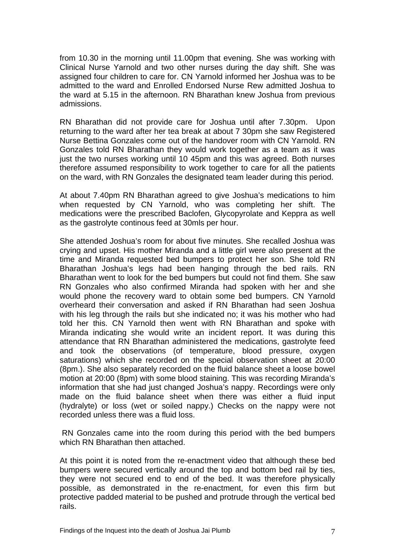from 10.30 in the morning until 11.00pm that evening. She was working with Clinical Nurse Yarnold and two other nurses during the day shift. She was assigned four children to care for. CN Yarnold informed her Joshua was to be admitted to the ward and Enrolled Endorsed Nurse Rew admitted Joshua to the ward at 5.15 in the afternoon. RN Bharathan knew Joshua from previous admissions.

RN Bharathan did not provide care for Joshua until after 7.30pm. Upon returning to the ward after her tea break at about 7 30pm she saw Registered Nurse Bettina Gonzales come out of the handover room with CN Yarnold. RN Gonzales told RN Bharathan they would work together as a team as it was just the two nurses working until 10 45pm and this was agreed. Both nurses therefore assumed responsibility to work together to care for all the patients on the ward, with RN Gonzales the designated team leader during this period.

At about 7.40pm RN Bharathan agreed to give Joshua's medications to him when requested by CN Yarnold, who was completing her shift. The medications were the prescribed Baclofen, Glycopyrolate and Keppra as well as the gastrolyte continous feed at 30mls per hour.

She attended Joshua's room for about five minutes. She recalled Joshua was crying and upset. His mother Miranda and a little girl were also present at the time and Miranda requested bed bumpers to protect her son. She told RN Bharathan Joshua's legs had been hanging through the bed rails. RN Bharathan went to look for the bed bumpers but could not find them. She saw RN Gonzales who also confirmed Miranda had spoken with her and she would phone the recovery ward to obtain some bed bumpers. CN Yarnold overheard their conversation and asked if RN Bharathan had seen Joshua with his leg through the rails but she indicated no; it was his mother who had told her this. CN Yarnold then went with RN Bharathan and spoke with Miranda indicating she would write an incident report. It was during this attendance that RN Bharathan administered the medications, gastrolyte feed and took the observations (of temperature, blood pressure, oxygen saturations) which she recorded on the special observation sheet at 20:00 (8pm.). She also separately recorded on the fluid balance sheet a loose bowel motion at 20:00 (8pm) with some blood staining. This was recording Miranda's information that she had just changed Joshua's nappy. Recordings were only made on the fluid balance sheet when there was either a fluid input (hydralyte) or loss (wet or soiled nappy.) Checks on the nappy were not recorded unless there was a fluid loss.

 RN Gonzales came into the room during this period with the bed bumpers which RN Bharathan then attached.

At this point it is noted from the re-enactment video that although these bed bumpers were secured vertically around the top and bottom bed rail by ties, they were not secured end to end of the bed. It was therefore physically possible, as demonstrated in the re-enactment, for even this firm but protective padded material to be pushed and protrude through the vertical bed rails.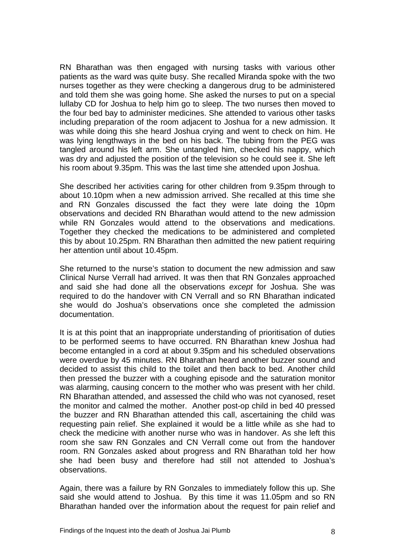RN Bharathan was then engaged with nursing tasks with various other patients as the ward was quite busy. She recalled Miranda spoke with the two nurses together as they were checking a dangerous drug to be administered and told them she was going home. She asked the nurses to put on a special lullaby CD for Joshua to help him go to sleep. The two nurses then moved to the four bed bay to administer medicines. She attended to various other tasks including preparation of the room adjacent to Joshua for a new admission. It was while doing this she heard Joshua crying and went to check on him. He was lying lengthways in the bed on his back. The tubing from the PEG was tangled around his left arm. She untangled him, checked his nappy, which was dry and adjusted the position of the television so he could see it. She left his room about 9.35pm. This was the last time she attended upon Joshua.

She described her activities caring for other children from 9.35pm through to about 10.10pm when a new admission arrived. She recalled at this time she and RN Gonzales discussed the fact they were late doing the 10pm observations and decided RN Bharathan would attend to the new admission while RN Gonzales would attend to the observations and medications. Together they checked the medications to be administered and completed this by about 10.25pm. RN Bharathan then admitted the new patient requiring her attention until about 10.45pm.

She returned to the nurse's station to document the new admission and saw Clinical Nurse Verrall had arrived. It was then that RN Gonzales approached and said she had done all the observations *except* for Joshua. She was required to do the handover with CN Verrall and so RN Bharathan indicated she would do Joshua's observations once she completed the admission documentation.

It is at this point that an inappropriate understanding of prioritisation of duties to be performed seems to have occurred. RN Bharathan knew Joshua had become entangled in a cord at about 9.35pm and his scheduled observations were overdue by 45 minutes. RN Bharathan heard another buzzer sound and decided to assist this child to the toilet and then back to bed. Another child then pressed the buzzer with a coughing episode and the saturation monitor was alarming, causing concern to the mother who was present with her child. RN Bharathan attended, and assessed the child who was not cyanosed, reset the monitor and calmed the mother. Another post-op child in bed 40 pressed the buzzer and RN Bharathan attended this call, ascertaining the child was requesting pain relief. She explained it would be a little while as she had to check the medicine with another nurse who was in handover. As she left this room she saw RN Gonzales and CN Verrall come out from the handover room. RN Gonzales asked about progress and RN Bharathan told her how she had been busy and therefore had still not attended to Joshua's observations.

Again, there was a failure by RN Gonzales to immediately follow this up. She said she would attend to Joshua. By this time it was 11.05pm and so RN Bharathan handed over the information about the request for pain relief and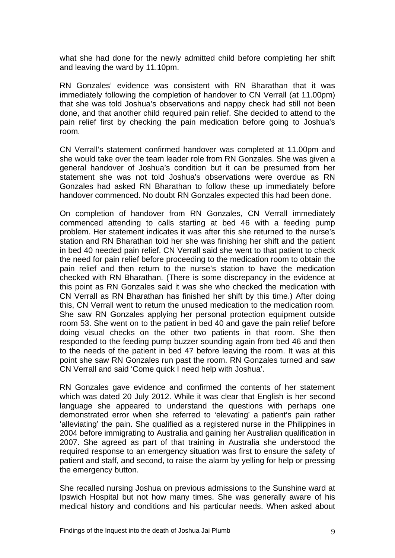what she had done for the newly admitted child before completing her shift and leaving the ward by 11.10pm.

RN Gonzales' evidence was consistent with RN Bharathan that it was immediately following the completion of handover to CN Verrall (at 11.00pm) that she was told Joshua's observations and nappy check had still not been done, and that another child required pain relief. She decided to attend to the pain relief first by checking the pain medication before going to Joshua's room.

CN Verrall's statement confirmed handover was completed at 11.00pm and she would take over the team leader role from RN Gonzales. She was given a general handover of Joshua's condition but it can be presumed from her statement she was not told Joshua's observations were overdue as RN Gonzales had asked RN Bharathan to follow these up immediately before handover commenced. No doubt RN Gonzales expected this had been done.

On completion of handover from RN Gonzales, CN Verrall immediately commenced attending to calls starting at bed 46 with a feeding pump problem. Her statement indicates it was after this she returned to the nurse's station and RN Bharathan told her she was finishing her shift and the patient in bed 40 needed pain relief. CN Verrall said she went to that patient to check the need for pain relief before proceeding to the medication room to obtain the pain relief and then return to the nurse's station to have the medication checked with RN Bharathan. (There is some discrepancy in the evidence at this point as RN Gonzales said it was she who checked the medication with CN Verrall as RN Bharathan has finished her shift by this time.) After doing this, CN Verrall went to return the unused medication to the medication room. She saw RN Gonzales applying her personal protection equipment outside room 53. She went on to the patient in bed 40 and gave the pain relief before doing visual checks on the other two patients in that room. She then responded to the feeding pump buzzer sounding again from bed 46 and then to the needs of the patient in bed 47 before leaving the room. It was at this point she saw RN Gonzales run past the room. RN Gonzales turned and saw CN Verrall and said 'Come quick I need help with Joshua'.

RN Gonzales gave evidence and confirmed the contents of her statement which was dated 20 July 2012. While it was clear that English is her second language she appeared to understand the questions with perhaps one demonstrated error when she referred to 'elevating' a patient's pain rather 'alleviating' the pain. She qualified as a registered nurse in the Philippines in 2004 before immigrating to Australia and gaining her Australian qualification in 2007. She agreed as part of that training in Australia she understood the required response to an emergency situation was first to ensure the safety of patient and staff, and second, to raise the alarm by yelling for help or pressing the emergency button.

She recalled nursing Joshua on previous admissions to the Sunshine ward at Ipswich Hospital but not how many times. She was generally aware of his medical history and conditions and his particular needs. When asked about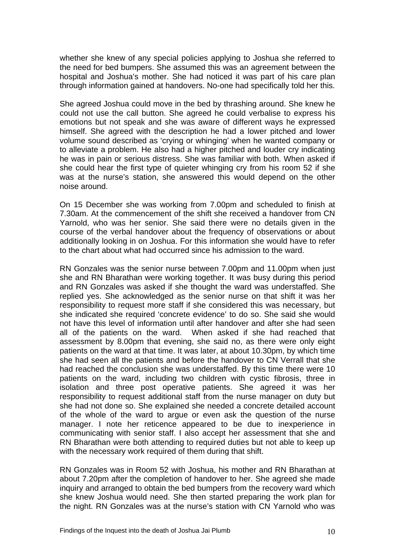whether she knew of any special policies applying to Joshua she referred to the need for bed bumpers. She assumed this was an agreement between the hospital and Joshua's mother. She had noticed it was part of his care plan through information gained at handovers. No-one had specifically told her this.

She agreed Joshua could move in the bed by thrashing around. She knew he could not use the call button. She agreed he could verbalise to express his emotions but not speak and she was aware of different ways he expressed himself. She agreed with the description he had a lower pitched and lower volume sound described as 'crying or whinging' when he wanted company or to alleviate a problem. He also had a higher pitched and louder cry indicating he was in pain or serious distress. She was familiar with both. When asked if she could hear the first type of quieter whinging cry from his room 52 if she was at the nurse's station, she answered this would depend on the other noise around.

On 15 December she was working from 7.00pm and scheduled to finish at 7.30am. At the commencement of the shift she received a handover from CN Yarnold, who was her senior. She said there were no details given in the course of the verbal handover about the frequency of observations or about additionally looking in on Joshua. For this information she would have to refer to the chart about what had occurred since his admission to the ward.

RN Gonzales was the senior nurse between 7.00pm and 11.00pm when just she and RN Bharathan were working together. It was busy during this period and RN Gonzales was asked if she thought the ward was understaffed. She replied yes. She acknowledged as the senior nurse on that shift it was her responsibility to request more staff if she considered this was necessary, but she indicated she required 'concrete evidence' to do so. She said she would not have this level of information until after handover and after she had seen all of the patients on the ward. When asked if she had reached that assessment by 8.00pm that evening, she said no, as there were only eight patients on the ward at that time. It was later, at about 10.30pm, by which time she had seen all the patients and before the handover to CN Verrall that she had reached the conclusion she was understaffed. By this time there were 10 patients on the ward, including two children with cystic fibrosis, three in isolation and three post operative patients. She agreed it was her responsibility to request additional staff from the nurse manager on duty but she had not done so. She explained she needed a concrete detailed account of the whole of the ward to argue or even ask the question of the nurse manager. I note her reticence appeared to be due to inexperience in communicating with senior staff. I also accept her assessment that she and RN Bharathan were both attending to required duties but not able to keep up with the necessary work required of them during that shift.

RN Gonzales was in Room 52 with Joshua, his mother and RN Bharathan at about 7.20pm after the completion of handover to her. She agreed she made inquiry and arranged to obtain the bed bumpers from the recovery ward which she knew Joshua would need. She then started preparing the work plan for the night. RN Gonzales was at the nurse's station with CN Yarnold who was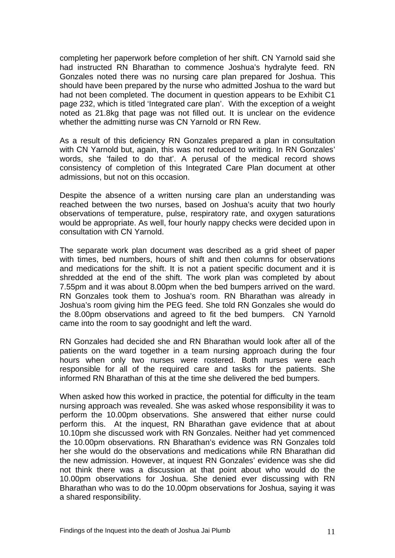completing her paperwork before completion of her shift. CN Yarnold said she had instructed RN Bharathan to commence Joshua's hydralyte feed. RN Gonzales noted there was no nursing care plan prepared for Joshua. This should have been prepared by the nurse who admitted Joshua to the ward but had not been completed. The document in question appears to be Exhibit C1 page 232, which is titled 'Integrated care plan'. With the exception of a weight noted as 21.8kg that page was not filled out. It is unclear on the evidence whether the admitting nurse was CN Yarnold or RN Rew.

As a result of this deficiency RN Gonzales prepared a plan in consultation with CN Yarnold but, again, this was not reduced to writing. In RN Gonzales' words, she 'failed to do that'. A perusal of the medical record shows consistency of completion of this Integrated Care Plan document at other admissions, but not on this occasion.

Despite the absence of a written nursing care plan an understanding was reached between the two nurses, based on Joshua's acuity that two hourly observations of temperature, pulse, respiratory rate, and oxygen saturations would be appropriate. As well, four hourly nappy checks were decided upon in consultation with CN Yarnold.

The separate work plan document was described as a grid sheet of paper with times, bed numbers, hours of shift and then columns for observations and medications for the shift. It is not a patient specific document and it is shredded at the end of the shift. The work plan was completed by about 7.55pm and it was about 8.00pm when the bed bumpers arrived on the ward. RN Gonzales took them to Joshua's room. RN Bharathan was already in Joshua's room giving him the PEG feed. She told RN Gonzales she would do the 8.00pm observations and agreed to fit the bed bumpers. CN Yarnold came into the room to say goodnight and left the ward.

RN Gonzales had decided she and RN Bharathan would look after all of the patients on the ward together in a team nursing approach during the four hours when only two nurses were rostered. Both nurses were each responsible for all of the required care and tasks for the patients. She informed RN Bharathan of this at the time she delivered the bed bumpers.

When asked how this worked in practice, the potential for difficulty in the team nursing approach was revealed. She was asked whose responsibility it was to perform the 10.00pm observations. She answered that either nurse could perform this. At the inquest, RN Bharathan gave evidence that at about 10.10pm she discussed work with RN Gonzales. Neither had yet commenced the 10.00pm observations. RN Bharathan's evidence was RN Gonzales told her she would do the observations and medications while RN Bharathan did the new admission. However, at inquest RN Gonzales' evidence was she did not think there was a discussion at that point about who would do the 10.00pm observations for Joshua. She denied ever discussing with RN Bharathan who was to do the 10.00pm observations for Joshua, saying it was a shared responsibility.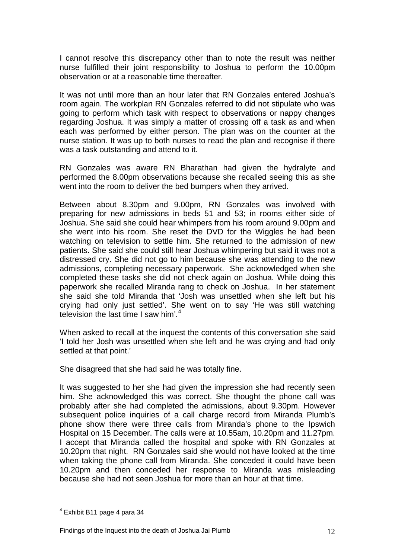I cannot resolve this discrepancy other than to note the result was neither nurse fulfilled their joint responsibility to Joshua to perform the 10.00pm observation or at a reasonable time thereafter.

It was not until more than an hour later that RN Gonzales entered Joshua's room again. The workplan RN Gonzales referred to did not stipulate who was going to perform which task with respect to observations or nappy changes regarding Joshua. It was simply a matter of crossing off a task as and when each was performed by either person. The plan was on the counter at the nurse station. It was up to both nurses to read the plan and recognise if there was a task outstanding and attend to it.

RN Gonzales was aware RN Bharathan had given the hydralyte and performed the 8.00pm observations because she recalled seeing this as she went into the room to deliver the bed bumpers when they arrived.

Between about 8.30pm and 9.00pm, RN Gonzales was involved with preparing for new admissions in beds 51 and 53; in rooms either side of Joshua. She said she could hear whimpers from his room around 9.00pm and she went into his room. She reset the DVD for the Wiggles he had been watching on television to settle him. She returned to the admission of new patients. She said she could still hear Joshua whimpering but said it was not a distressed cry. She did not go to him because she was attending to the new admissions, completing necessary paperwork. She acknowledged when she completed these tasks she did not check again on Joshua. While doing this paperwork she recalled Miranda rang to check on Joshua. In her statement she said she told Miranda that 'Josh was unsettled when she left but his crying had only just settled'. She went on to say 'He was still watching television the last time I saw him'.<sup>[4](#page-6-0)</sup>

When asked to recall at the inquest the contents of this conversation she said 'I told her Josh was unsettled when she left and he was crying and had only settled at that point.'

She disagreed that she had said he was totally fine.

It was suggested to her she had given the impression she had recently seen him. She acknowledged this was correct. She thought the phone call was probably after she had completed the admissions, about 9.30pm. However subsequent police inquiries of a call charge record from Miranda Plumb's phone show there were three calls from Miranda's phone to the Ipswich Hospital on 15 December. The calls were at 10.55am, 10.20pm and 11.27pm. I accept that Miranda called the hospital and spoke with RN Gonzales at 10.20pm that night. RN Gonzales said she would not have looked at the time when taking the phone call from Miranda. She conceded it could have been 10.20pm and then conceded her response to Miranda was misleading because she had not seen Joshua for more than an hour at that time.

<span id="page-12-0"></span><sup>&</sup>lt;u>.</u> 4 Exhibit B11 page 4 para 34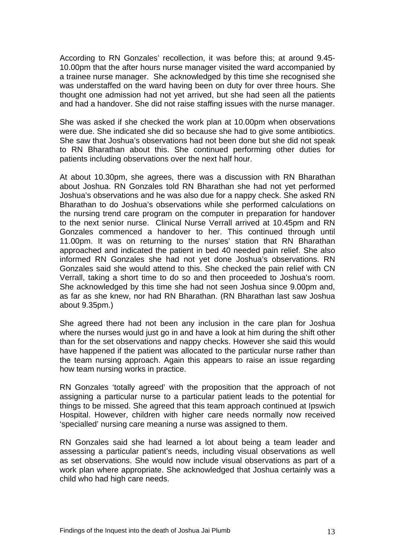According to RN Gonzales' recollection, it was before this; at around 9.45- 10.00pm that the after hours nurse manager visited the ward accompanied by a trainee nurse manager. She acknowledged by this time she recognised she was understaffed on the ward having been on duty for over three hours. She thought one admission had not yet arrived, but she had seen all the patients and had a handover. She did not raise staffing issues with the nurse manager.

She was asked if she checked the work plan at 10.00pm when observations were due. She indicated she did so because she had to give some antibiotics. She saw that Joshua's observations had not been done but she did not speak to RN Bharathan about this. She continued performing other duties for patients including observations over the next half hour.

At about 10.30pm, she agrees, there was a discussion with RN Bharathan about Joshua. RN Gonzales told RN Bharathan she had not yet performed Joshua's observations and he was also due for a nappy check. She asked RN Bharathan to do Joshua's observations while she performed calculations on the nursing trend care program on the computer in preparation for handover to the next senior nurse. Clinical Nurse Verrall arrived at 10.45pm and RN Gonzales commenced a handover to her. This continued through until 11.00pm. It was on returning to the nurses' station that RN Bharathan approached and indicated the patient in bed 40 needed pain relief. She also informed RN Gonzales she had not yet done Joshua's observations. RN Gonzales said she would attend to this. She checked the pain relief with CN Verrall, taking a short time to do so and then proceeded to Joshua's room. She acknowledged by this time she had not seen Joshua since 9.00pm and, as far as she knew, nor had RN Bharathan. (RN Bharathan last saw Joshua about 9.35pm.)

She agreed there had not been any inclusion in the care plan for Joshua where the nurses would just go in and have a look at him during the shift other than for the set observations and nappy checks. However she said this would have happened if the patient was allocated to the particular nurse rather than the team nursing approach. Again this appears to raise an issue regarding how team nursing works in practice.

RN Gonzales 'totally agreed' with the proposition that the approach of not assigning a particular nurse to a particular patient leads to the potential for things to be missed. She agreed that this team approach continued at Ipswich Hospital. However, children with higher care needs normally now received 'specialled' nursing care meaning a nurse was assigned to them.

RN Gonzales said she had learned a lot about being a team leader and assessing a particular patient's needs, including visual observations as well as set observations. She would now include visual observations as part of a work plan where appropriate. She acknowledged that Joshua certainly was a child who had high care needs.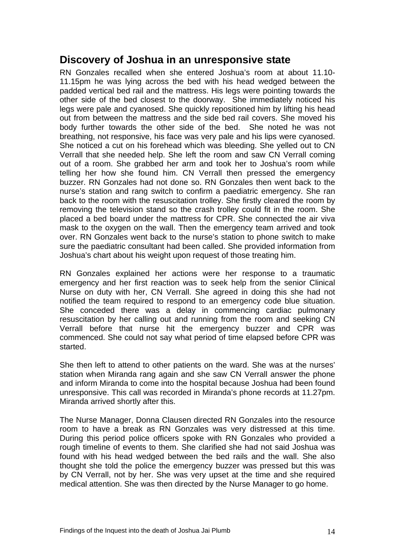#### **Discovery of Joshua in an unresponsive state**

RN Gonzales recalled when she entered Joshua's room at about 11.10- 11.15pm he was lying across the bed with his head wedged between the padded vertical bed rail and the mattress. His legs were pointing towards the other side of the bed closest to the doorway. She immediately noticed his legs were pale and cyanosed. She quickly repositioned him by lifting his head out from between the mattress and the side bed rail covers. She moved his body further towards the other side of the bed. She noted he was not breathing, not responsive, his face was very pale and his lips were cyanosed. She noticed a cut on his forehead which was bleeding. She yelled out to CN Verrall that she needed help. She left the room and saw CN Verrall coming out of a room. She grabbed her arm and took her to Joshua's room while telling her how she found him. CN Verrall then pressed the emergency buzzer. RN Gonzales had not done so. RN Gonzales then went back to the nurse's station and rang switch to confirm a paediatric emergency. She ran back to the room with the resuscitation trolley. She firstly cleared the room by removing the television stand so the crash trolley could fit in the room. She placed a bed board under the mattress for CPR. She connected the air viva mask to the oxygen on the wall. Then the emergency team arrived and took over. RN Gonzales went back to the nurse's station to phone switch to make sure the paediatric consultant had been called. She provided information from Joshua's chart about his weight upon request of those treating him.

RN Gonzales explained her actions were her response to a traumatic emergency and her first reaction was to seek help from the senior Clinical Nurse on duty with her, CN Verrall. She agreed in doing this she had not notified the team required to respond to an emergency code blue situation. She conceded there was a delay in commencing cardiac pulmonary resuscitation by her calling out and running from the room and seeking CN Verrall before that nurse hit the emergency buzzer and CPR was commenced. She could not say what period of time elapsed before CPR was started.

She then left to attend to other patients on the ward. She was at the nurses' station when Miranda rang again and she saw CN Verrall answer the phone and inform Miranda to come into the hospital because Joshua had been found unresponsive. This call was recorded in Miranda's phone records at 11.27pm. Miranda arrived shortly after this.

The Nurse Manager, Donna Clausen directed RN Gonzales into the resource room to have a break as RN Gonzales was very distressed at this time. During this period police officers spoke with RN Gonzales who provided a rough timeline of events to them. She clarified she had not said Joshua was found with his head wedged between the bed rails and the wall. She also thought she told the police the emergency buzzer was pressed but this was by CN Verrall, not by her. She was very upset at the time and she required medical attention. She was then directed by the Nurse Manager to go home.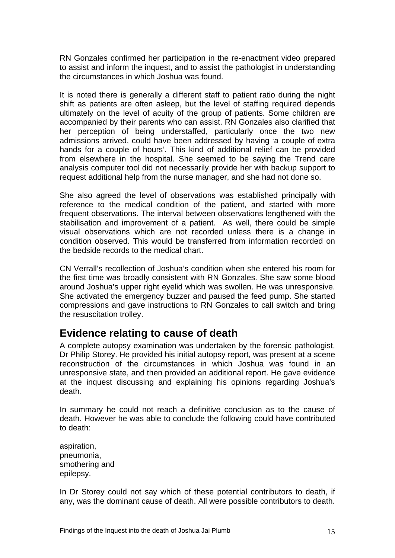RN Gonzales confirmed her participation in the re-enactment video prepared to assist and inform the inquest, and to assist the pathologist in understanding the circumstances in which Joshua was found.

It is noted there is generally a different staff to patient ratio during the night shift as patients are often asleep, but the level of staffing required depends ultimately on the level of acuity of the group of patients. Some children are accompanied by their parents who can assist. RN Gonzales also clarified that her perception of being understaffed, particularly once the two new admissions arrived, could have been addressed by having 'a couple of extra hands for a couple of hours'. This kind of additional relief can be provided from elsewhere in the hospital. She seemed to be saying the Trend care analysis computer tool did not necessarily provide her with backup support to request additional help from the nurse manager, and she had not done so.

She also agreed the level of observations was established principally with reference to the medical condition of the patient, and started with more frequent observations. The interval between observations lengthened with the stabilisation and improvement of a patient. As well, there could be simple visual observations which are not recorded unless there is a change in condition observed. This would be transferred from information recorded on the bedside records to the medical chart.

CN Verrall's recollection of Joshua's condition when she entered his room for the first time was broadly consistent with RN Gonzales. She saw some blood around Joshua's upper right eyelid which was swollen. He was unresponsive. She activated the emergency buzzer and paused the feed pump. She started compressions and gave instructions to RN Gonzales to call switch and bring the resuscitation trolley.

## **Evidence relating to cause of death**

A complete autopsy examination was undertaken by the forensic pathologist, Dr Philip Storey. He provided his initial autopsy report, was present at a scene reconstruction of the circumstances in which Joshua was found in an unresponsive state, and then provided an additional report. He gave evidence at the inquest discussing and explaining his opinions regarding Joshua's death.

In summary he could not reach a definitive conclusion as to the cause of death. However he was able to conclude the following could have contributed to death:

aspiration, pneumonia, smothering and epilepsy.

In Dr Storey could not say which of these potential contributors to death, if any, was the dominant cause of death. All were possible contributors to death.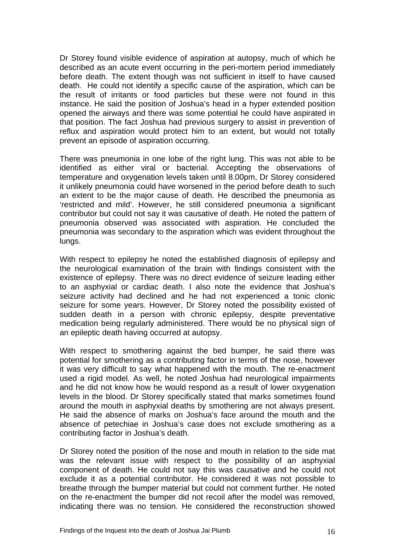Dr Storey found visible evidence of aspiration at autopsy, much of which he described as an acute event occurring in the peri-mortem period immediately before death. The extent though was not sufficient in itself to have caused death. He could not identify a specific cause of the aspiration, which can be the result of irritants or food particles but these were not found in this instance. He said the position of Joshua's head in a hyper extended position opened the airways and there was some potential he could have aspirated in that position. The fact Joshua had previous surgery to assist in prevention of reflux and aspiration would protect him to an extent, but would not totally prevent an episode of aspiration occurring.

There was pneumonia in one lobe of the right lung. This was not able to be identified as either viral or bacterial. Accepting the observations of temperature and oxygenation levels taken until 8.00pm, Dr Storey considered it unlikely pneumonia could have worsened in the period before death to such an extent to be the major cause of death. He described the pneumonia as 'restricted and mild'. However, he still considered pneumonia a significant contributor but could not say it was causative of death. He noted the pattern of pneumonia observed was associated with aspiration. He concluded the pneumonia was secondary to the aspiration which was evident throughout the lungs.

With respect to epilepsy he noted the established diagnosis of epilepsy and the neurological examination of the brain with findings consistent with the existence of epilepsy. There was no direct evidence of seizure leading either to an asphyxial or cardiac death. I also note the evidence that Joshua's seizure activity had declined and he had not experienced a tonic clonic seizure for some years. However, Dr Storey noted the possibility existed of sudden death in a person with chronic epilepsy, despite preventative medication being regularly administered. There would be no physical sign of an epileptic death having occurred at autopsy.

With respect to smothering against the bed bumper, he said there was potential for smothering as a contributing factor in terms of the nose, however it was very difficult to say what happened with the mouth. The re-enactment used a rigid model. As well, he noted Joshua had neurological impairments and he did not know how he would respond as a result of lower oxygenation levels in the blood. Dr Storey specifically stated that marks sometimes found around the mouth in asphyxial deaths by smothering are not always present. He said the absence of marks on Joshua's face around the mouth and the absence of petechiae in Joshua's case does not exclude smothering as a contributing factor in Joshua's death.

Dr Storey noted the position of the nose and mouth in relation to the side mat was the relevant issue with respect to the possibility of an asphyxial component of death. He could not say this was causative and he could not exclude it as a potential contributor. He considered it was not possible to breathe through the bumper material but could not comment further. He noted on the re-enactment the bumper did not recoil after the model was removed, indicating there was no tension. He considered the reconstruction showed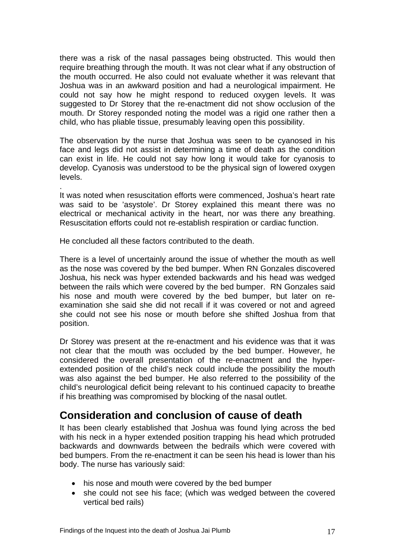there was a risk of the nasal passages being obstructed. This would then require breathing through the mouth. It was not clear what if any obstruction of the mouth occurred. He also could not evaluate whether it was relevant that Joshua was in an awkward position and had a neurological impairment. He could not say how he might respond to reduced oxygen levels. It was suggested to Dr Storey that the re-enactment did not show occlusion of the mouth. Dr Storey responded noting the model was a rigid one rather then a child, who has pliable tissue, presumably leaving open this possibility.

The observation by the nurse that Joshua was seen to be cyanosed in his face and legs did not assist in determining a time of death as the condition can exist in life. He could not say how long it would take for cyanosis to develop. Cyanosis was understood to be the physical sign of lowered oxygen levels.

It was noted when resuscitation efforts were commenced, Joshua's heart rate was said to be 'asystole'. Dr Storey explained this meant there was no electrical or mechanical activity in the heart, nor was there any breathing. Resuscitation efforts could not re-establish respiration or cardiac function.

He concluded all these factors contributed to the death.

.

There is a level of uncertainly around the issue of whether the mouth as well as the nose was covered by the bed bumper. When RN Gonzales discovered Joshua, his neck was hyper extended backwards and his head was wedged between the rails which were covered by the bed bumper. RN Gonzales said his nose and mouth were covered by the bed bumper, but later on reexamination she said she did not recall if it was covered or not and agreed she could not see his nose or mouth before she shifted Joshua from that position.

Dr Storey was present at the re-enactment and his evidence was that it was not clear that the mouth was occluded by the bed bumper. However, he considered the overall presentation of the re-enactment and the hyperextended position of the child's neck could include the possibility the mouth was also against the bed bumper. He also referred to the possibility of the child's neurological deficit being relevant to his continued capacity to breathe if his breathing was compromised by blocking of the nasal outlet.

## **Consideration and conclusion of cause of death**

It has been clearly established that Joshua was found lying across the bed with his neck in a hyper extended position trapping his head which protruded backwards and downwards between the bedrails which were covered with bed bumpers. From the re-enactment it can be seen his head is lower than his body. The nurse has variously said:

- his nose and mouth were covered by the bed bumper
- she could not see his face; (which was wedged between the covered vertical bed rails)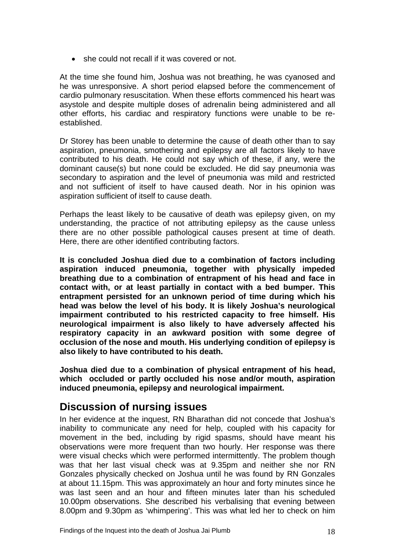• she could not recall if it was covered or not.

At the time she found him, Joshua was not breathing, he was cyanosed and he was unresponsive. A short period elapsed before the commencement of cardio pulmonary resuscitation. When these efforts commenced his heart was asystole and despite multiple doses of adrenalin being administered and all other efforts, his cardiac and respiratory functions were unable to be reestablished.

Dr Storey has been unable to determine the cause of death other than to say aspiration, pneumonia, smothering and epilepsy are all factors likely to have contributed to his death. He could not say which of these, if any, were the dominant cause(s) but none could be excluded. He did say pneumonia was secondary to aspiration and the level of pneumonia was mild and restricted and not sufficient of itself to have caused death. Nor in his opinion was aspiration sufficient of itself to cause death.

Perhaps the least likely to be causative of death was epilepsy given, on my understanding, the practice of not attributing epilepsy as the cause unless there are no other possible pathological causes present at time of death. Here, there are other identified contributing factors.

**It is concluded Joshua died due to a combination of factors including aspiration induced pneumonia, together with physically impeded breathing due to a combination of entrapment of his head and face in contact with, or at least partially in contact with a bed bumper. This entrapment persisted for an unknown period of time during which his head was below the level of his body. It is likely Joshua's neurological impairment contributed to his restricted capacity to free himself. His neurological impairment is also likely to have adversely affected his respiratory capacity in an awkward position with some degree of occlusion of the nose and mouth. His underlying condition of epilepsy is also likely to have contributed to his death.** 

**Joshua died due to a combination of physical entrapment of his head, which occluded or partly occluded his nose and/or mouth, aspiration induced pneumonia, epilepsy and neurological impairment.** 

## **Discussion of nursing issues**

In her evidence at the inquest, RN Bharathan did not concede that Joshua's inability to communicate any need for help, coupled with his capacity for movement in the bed, including by rigid spasms, should have meant his observations were more frequent than two hourly. Her response was there were visual checks which were performed intermittently. The problem though was that her last visual check was at 9.35pm and neither she nor RN Gonzales physically checked on Joshua until he was found by RN Gonzales at about 11.15pm. This was approximately an hour and forty minutes since he was last seen and an hour and fifteen minutes later than his scheduled 10.00pm observations. She described his verbalising that evening between 8.00pm and 9.30pm as 'whimpering'. This was what led her to check on him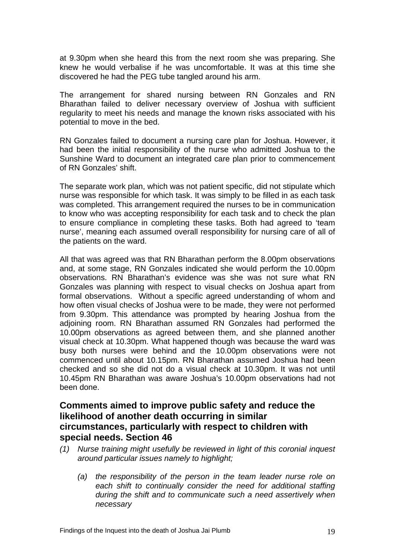at 9.30pm when she heard this from the next room she was preparing. She knew he would verbalise if he was uncomfortable. It was at this time she discovered he had the PEG tube tangled around his arm.

The arrangement for shared nursing between RN Gonzales and RN Bharathan failed to deliver necessary overview of Joshua with sufficient regularity to meet his needs and manage the known risks associated with his potential to move in the bed.

RN Gonzales failed to document a nursing care plan for Joshua. However, it had been the initial responsibility of the nurse who admitted Joshua to the Sunshine Ward to document an integrated care plan prior to commencement of RN Gonzales' shift.

The separate work plan, which was not patient specific, did not stipulate which nurse was responsible for which task. It was simply to be filled in as each task was completed. This arrangement required the nurses to be in communication to know who was accepting responsibility for each task and to check the plan to ensure compliance in completing these tasks. Both had agreed to 'team nurse', meaning each assumed overall responsibility for nursing care of all of the patients on the ward.

All that was agreed was that RN Bharathan perform the 8.00pm observations and, at some stage, RN Gonzales indicated she would perform the 10.00pm observations. RN Bharathan's evidence was she was not sure what RN Gonzales was planning with respect to visual checks on Joshua apart from formal observations. Without a specific agreed understanding of whom and how often visual checks of Joshua were to be made, they were not performed from 9.30pm. This attendance was prompted by hearing Joshua from the adjoining room. RN Bharathan assumed RN Gonzales had performed the 10.00pm observations as agreed between them, and she planned another visual check at 10.30pm. What happened though was because the ward was busy both nurses were behind and the 10.00pm observations were not commenced until about 10.15pm. RN Bharathan assumed Joshua had been checked and so she did not do a visual check at 10.30pm. It was not until 10.45pm RN Bharathan was aware Joshua's 10.00pm observations had not been done.

#### **Comments aimed to improve public safety and reduce the likelihood of another death occurring in similar circumstances, particularly with respect to children with special needs. Section 46**

- *(1) Nurse training might usefully be reviewed in light of this coronial inquest around particular issues namely to highlight;* 
	- *(a) the responsibility of the person in the team leader nurse role on each shift to continually consider the need for additional staffing during the shift and to communicate such a need assertively when necessary*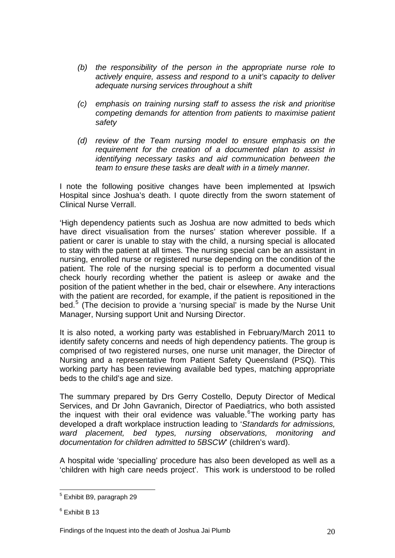- *(b) the responsibility of the person in the appropriate nurse role to actively enquire, assess and respond to a unit's capacity to deliver adequate nursing services throughout a shift*
- *(c) emphasis on training nursing staff to assess the risk and prioritise competing demands for attention from patients to maximise patient safety*
- *(d) review of the Team nursing model to ensure emphasis on the requirement for the creation of a documented plan to assist in identifying necessary tasks and aid communication between the team to ensure these tasks are dealt with in a timely manner.*

I note the following positive changes have been implemented at Ipswich Hospital since Joshua's death. I quote directly from the sworn statement of Clinical Nurse Verrall.

'High dependency patients such as Joshua are now admitted to beds which have direct visualisation from the nurses' station wherever possible. If a patient or carer is unable to stay with the child, a nursing special is allocated to stay with the patient at all times. The nursing special can be an assistant in nursing, enrolled nurse or registered nurse depending on the condition of the patient. The role of the nursing special is to perform a documented visual check hourly recording whether the patient is asleep or awake and the position of the patient whether in the bed, chair or elsewhere. Any interactions with the patient are recorded, for example, if the patient is repositioned in the bed.<sup>[5](#page-12-0)</sup> (The decision to provide a 'nursing special' is made by the Nurse Unit Manager, Nursing support Unit and Nursing Director.

It is also noted, a working party was established in February/March 2011 to identify safety concerns and needs of high dependency patients. The group is comprised of two registered nurses, one nurse unit manager, the Director of Nursing and a representative from Patient Safety Queensland (PSQ). This working party has been reviewing available bed types, matching appropriate beds to the child's age and size.

The summary prepared by Drs Gerry Costello, Deputy Director of Medical Services, and Dr John Gavranich, Director of Paediatrics, who both assisted the inquest with their oral evidence was valuable. <sup>[6](#page-20-0)</sup>The working party has developed a draft workplace instruction leading to '*Standards for admissions, ward placement, bed types, nursing observations, monitoring and documentation for children admitted to 5BSCW*' (children's ward).

A hospital wide 'specialling' procedure has also been developed as well as a 'children with high care needs project'. This work is understood to be rolled

<sup>1</sup> 5 Exhibit B9, paragraph 29

<span id="page-20-0"></span><sup>6</sup> Exhibit B 13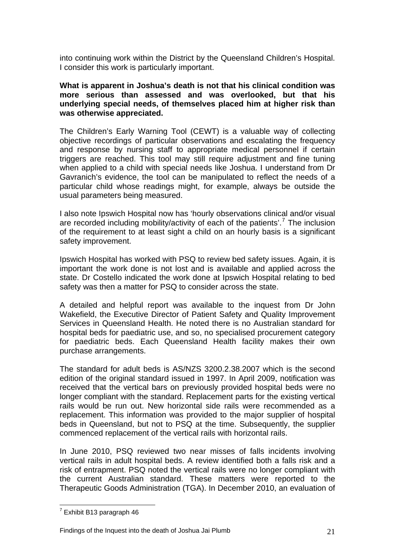into continuing work within the District by the Queensland Children's Hospital. I consider this work is particularly important.

#### **What is apparent in Joshua's death is not that his clinical condition was more serious than assessed and was overlooked, but that his underlying special needs, of themselves placed him at higher risk than was otherwise appreciated.**

The Children's Early Warning Tool (CEWT) is a valuable way of collecting objective recordings of particular observations and escalating the frequency and response by nursing staff to appropriate medical personnel if certain triggers are reached. This tool may still require adjustment and fine tuning when applied to a child with special needs like Joshua. I understand from Dr Gavranich's evidence, the tool can be manipulated to reflect the needs of a particular child whose readings might, for example, always be outside the usual parameters being measured.

I also note Ipswich Hospital now has 'hourly observations clinical and/or visual are recorded including mobility/activity of each of the patients'.<sup>[7](#page-20-0)</sup> The inclusion of the requirement to at least sight a child on an hourly basis is a significant safety improvement.

Ipswich Hospital has worked with PSQ to review bed safety issues. Again, it is important the work done is not lost and is available and applied across the state. Dr Costello indicated the work done at Ipswich Hospital relating to bed safety was then a matter for PSQ to consider across the state.

A detailed and helpful report was available to the inquest from Dr John Wakefield, the Executive Director of Patient Safety and Quality Improvement Services in Queensland Health. He noted there is no Australian standard for hospital beds for paediatric use, and so, no specialised procurement category for paediatric beds. Each Queensland Health facility makes their own purchase arrangements.

The standard for adult beds is AS/NZS 3200.2.38.2007 which is the second edition of the original standard issued in 1997. In April 2009, notification was received that the vertical bars on previously provided hospital beds were no longer compliant with the standard. Replacement parts for the existing vertical rails would be run out. New horizontal side rails were recommended as a replacement. This information was provided to the major supplier of hospital beds in Queensland, but not to PSQ at the time. Subsequently, the supplier commenced replacement of the vertical rails with horizontal rails.

In June 2010, PSQ reviewed two near misses of falls incidents involving vertical rails in adult hospital beds. A review identified both a falls risk and a risk of entrapment. PSQ noted the vertical rails were no longer compliant with the current Australian standard. These matters were reported to the Therapeutic Goods Administration (TGA). In December 2010, an evaluation of

<span id="page-21-0"></span><sup>&</sup>lt;u>.</u>  $7$  Exhibit B13 paragraph 46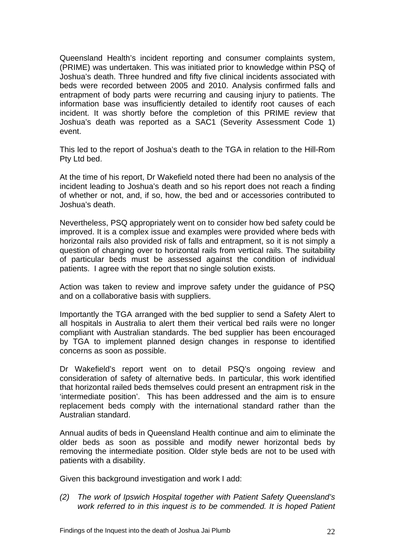Queensland Health's incident reporting and consumer complaints system, (PRIME) was undertaken. This was initiated prior to knowledge within PSQ of Joshua's death. Three hundred and fifty five clinical incidents associated with beds were recorded between 2005 and 2010. Analysis confirmed falls and entrapment of body parts were recurring and causing injury to patients. The information base was insufficiently detailed to identify root causes of each incident. It was shortly before the completion of this PRIME review that Joshua's death was reported as a SAC1 (Severity Assessment Code 1) event.

This led to the report of Joshua's death to the TGA in relation to the Hill-Rom Pty Ltd bed.

At the time of his report, Dr Wakefield noted there had been no analysis of the incident leading to Joshua's death and so his report does not reach a finding of whether or not, and, if so, how, the bed and or accessories contributed to Joshua's death.

Nevertheless, PSQ appropriately went on to consider how bed safety could be improved. It is a complex issue and examples were provided where beds with horizontal rails also provided risk of falls and entrapment, so it is not simply a question of changing over to horizontal rails from vertical rails. The suitability of particular beds must be assessed against the condition of individual patients. I agree with the report that no single solution exists.

Action was taken to review and improve safety under the guidance of PSQ and on a collaborative basis with suppliers.

Importantly the TGA arranged with the bed supplier to send a Safety Alert to all hospitals in Australia to alert them their vertical bed rails were no longer compliant with Australian standards. The bed supplier has been encouraged by TGA to implement planned design changes in response to identified concerns as soon as possible.

Dr Wakefield's report went on to detail PSQ's ongoing review and consideration of safety of alternative beds. In particular, this work identified that horizontal railed beds themselves could present an entrapment risk in the 'intermediate position'. This has been addressed and the aim is to ensure replacement beds comply with the international standard rather than the Australian standard.

Annual audits of beds in Queensland Health continue and aim to eliminate the older beds as soon as possible and modify newer horizontal beds by removing the intermediate position. Older style beds are not to be used with patients with a disability.

Given this background investigation and work I add:

*(2) The work of Ipswich Hospital together with Patient Safety Queensland's work referred to in this inquest is to be commended. It is hoped Patient*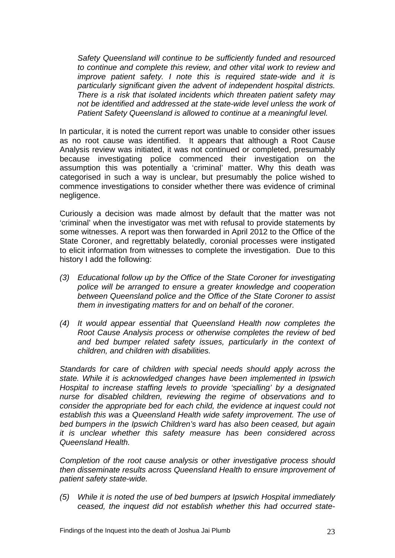*Safety Queensland will continue to be sufficiently funded and resourced to continue and complete this review, and other vital work to review and improve patient safety. I note this is required state-wide and it is particularly significant given the advent of independent hospital districts. There is a risk that isolated incidents which threaten patient safety may*  not be identified and addressed at the state-wide level unless the work of *Patient Safety Queensland is allowed to continue at a meaningful level.* 

In particular, it is noted the current report was unable to consider other issues as no root cause was identified. It appears that although a Root Cause Analysis review was initiated, it was not continued or completed, presumably because investigating police commenced their investigation on the assumption this was potentially a 'criminal' matter. Why this death was categorised in such a way is unclear, but presumably the police wished to commence investigations to consider whether there was evidence of criminal negligence.

Curiously a decision was made almost by default that the matter was not 'criminal' when the investigator was met with refusal to provide statements by some witnesses. A report was then forwarded in April 2012 to the Office of the State Coroner, and regrettably belatedly, coronial processes were instigated to elicit information from witnesses to complete the investigation. Due to this history I add the following:

- *(3) Educational follow up by the Office of the State Coroner for investigating police will be arranged to ensure a greater knowledge and cooperation between Queensland police and the Office of the State Coroner to assist them in investigating matters for and on behalf of the coroner.*
- *(4) It would appear essential that Queensland Health now completes the Root Cause Analysis process or otherwise completes the review of bed and bed bumper related safety issues, particularly in the context of children, and children with disabilities.*

*Standards for care of children with special needs should apply across the state. While it is acknowledged changes have been implemented in Ipswich Hospital to increase staffing levels to provide 'specialling' by a designated nurse for disabled children, reviewing the regime of observations and to consider the appropriate bed for each child, the evidence at inquest could not establish this was a Queensland Health wide safety improvement. The use of bed bumpers in the Ipswich Children's ward has also been ceased, but again it is unclear whether this safety measure has been considered across Queensland Health.* 

*Completion of the root cause analysis or other investigative process should then disseminate results across Queensland Health to ensure improvement of patient safety state-wide.* 

*(5) While it is noted the use of bed bumpers at Ipswich Hospital immediately ceased, the inquest did not establish whether this had occurred state-*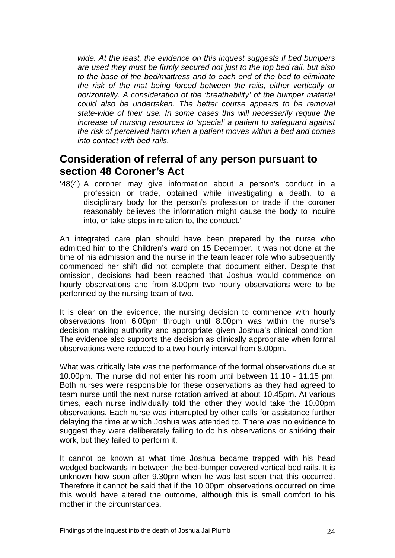*wide. At the least, the evidence on this inquest suggests if bed bumpers are used they must be firmly secured not just to the top bed rail, but also to the base of the bed/mattress and to each end of the bed to eliminate the risk of the mat being forced between the rails, either vertically or horizontally. A consideration of the 'breathability' of the bumper material could also be undertaken. The better course appears to be removal state-wide of their use. In some cases this will necessarily require the increase of nursing resources to 'special' a patient to safeguard against the risk of perceived harm when a patient moves within a bed and comes into contact with bed rails.* 

#### **Consideration of referral of any person pursuant to section 48 Coroner's Act**

'48(4) A coroner may give information about a person's conduct in a profession or trade, obtained while investigating a death, to a disciplinary body for the person's profession or trade if the coroner reasonably believes the information might cause the body to inquire into, or take steps in relation to, the conduct.'

An integrated care plan should have been prepared by the nurse who admitted him to the Children's ward on 15 December. It was not done at the time of his admission and the nurse in the team leader role who subsequently commenced her shift did not complete that document either. Despite that omission, decisions had been reached that Joshua would commence on hourly observations and from 8.00pm two hourly observations were to be performed by the nursing team of two.

It is clear on the evidence, the nursing decision to commence with hourly observations from 6.00pm through until 8.00pm was within the nurse's decision making authority and appropriate given Joshua's clinical condition. The evidence also supports the decision as clinically appropriate when formal observations were reduced to a two hourly interval from 8.00pm.

What was critically late was the performance of the formal observations due at 10.00pm. The nurse did not enter his room until between 11.10 - 11.15 pm. Both nurses were responsible for these observations as they had agreed to team nurse until the next nurse rotation arrived at about 10.45pm. At various times, each nurse individually told the other they would take the 10.00pm observations. Each nurse was interrupted by other calls for assistance further delaying the time at which Joshua was attended to. There was no evidence to suggest they were deliberately failing to do his observations or shirking their work, but they failed to perform it.

It cannot be known at what time Joshua became trapped with his head wedged backwards in between the bed-bumper covered vertical bed rails. It is unknown how soon after 9.30pm when he was last seen that this occurred. Therefore it cannot be said that if the 10.00pm observations occurred on time this would have altered the outcome, although this is small comfort to his mother in the circumstances.